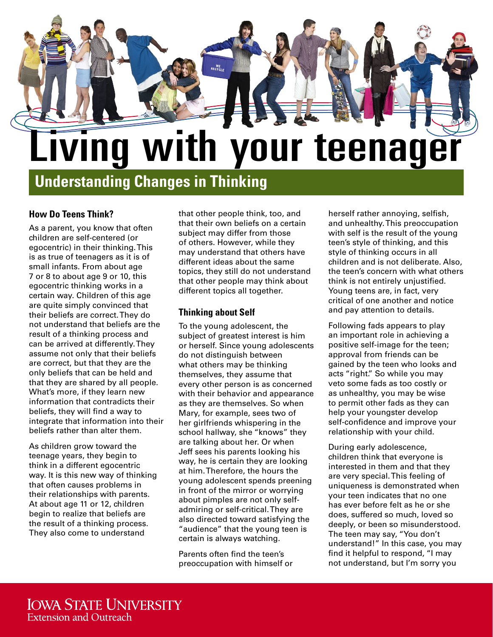

**Understanding Changes in Thinking**

## **How Do Teens Think?**

As a parent, you know that often children are self-centered (or egocentric) in their thinking. This is as true of teenagers as it is of small infants. From about age 7 or 8 to about age 9 or 10, this egocentric thinking works in a certain way. Children of this age are quite simply convinced that their beliefs are correct. They do not understand that beliefs are the result of a thinking process and can be arrived at differently. They assume not only that their beliefs are correct, but that they are the only beliefs that can be held and that they are shared by all people. What's more, if they learn new information that contradicts their beliefs, they will find a way to integrate that information into their beliefs rather than alter them.

As children grow toward the teenage years, they begin to think in a different egocentric way. It is this new way of thinking that often causes problems in their relationships with parents. At about age 11 or 12, children begin to realize that beliefs are the result of a thinking process. They also come to understand

that other people think, too, and that their own beliefs on a certain subject may differ from those of others. However, while they may understand that others have different ideas about the same topics, they still do not understand that other people may think about different topics all together.

## **Thinking about Self**

To the young adolescent, the subject of greatest interest is him or herself. Since young adolescents do not distinguish between what others may be thinking themselves, they assume that every other person is as concerned with their behavior and appearance as they are themselves. So when Mary, for example, sees two of her girlfriends whispering in the school hallway, she "knows" they are talking about her. Or when Jeff sees his parents looking his way, he is certain they are looking at him. Therefore, the hours the young adolescent spends preening in front of the mirror or worrying about pimples are not only selfadmiring or self-critical. They are also directed toward satisfying the "audience" that the young teen is certain is always watching.

Parents often find the teen's preoccupation with himself or herself rather annoying, selfish, and unhealthy. This preoccupation with self is the result of the young teen's style of thinking, and this style of thinking occurs in all children and is not deliberate. Also, the teen's concern with what others think is not entirely unjustified. Young teens are, in fact, very critical of one another and notice and pay attention to details.

Following fads appears to play an important role in achieving a positive self-image for the teen; approval from friends can be gained by the teen who looks and acts "right." So while you may veto some fads as too costly or as unhealthy, you may be wise to permit other fads as they can help your youngster develop self-confidence and improve your relationship with your child.

During early adolescence, children think that everyone is interested in them and that they are very special. This feeling of uniqueness is demonstrated when your teen indicates that no one has ever before felt as he or she does, suffered so much, loved so deeply, or been so misunderstood. The teen may say, "You don't understand!" In this case, you may find it helpful to respond, "I may not understand, but I'm sorry you